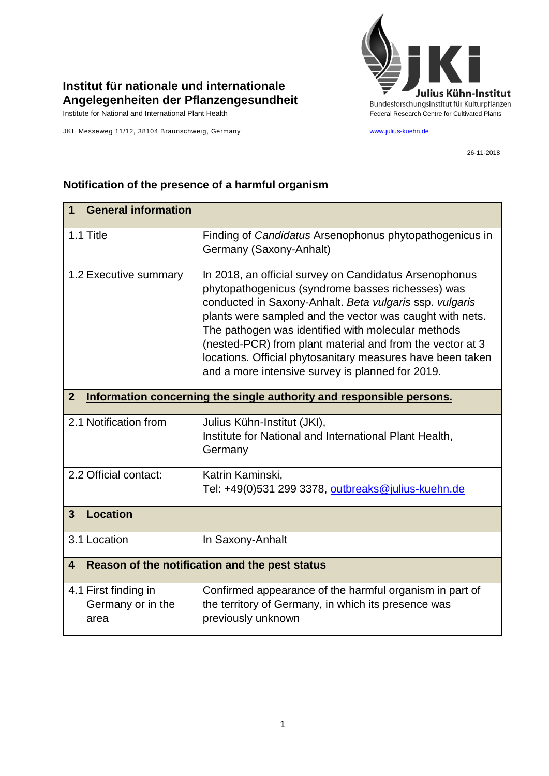

## **Institut für nationale und internationale Angelegenheiten der Pflanzengesundheit**

JKI, Messeweg 11/12, 38104 Braunschweig, Germany [www.julius-kuehn.de](http://www.julius-kuehn.de/)

26-11-2018

| <b>General information</b><br>1                                                      |                                                                                                                                                                                                                                                                                                                                                                                                                                                                         |  |
|--------------------------------------------------------------------------------------|-------------------------------------------------------------------------------------------------------------------------------------------------------------------------------------------------------------------------------------------------------------------------------------------------------------------------------------------------------------------------------------------------------------------------------------------------------------------------|--|
| 1.1 Title                                                                            | Finding of Candidatus Arsenophonus phytopathogenicus in<br>Germany (Saxony-Anhalt)                                                                                                                                                                                                                                                                                                                                                                                      |  |
| 1.2 Executive summary                                                                | In 2018, an official survey on Candidatus Arsenophonus<br>phytopathogenicus (syndrome basses richesses) was<br>conducted in Saxony-Anhalt. Beta vulgaris ssp. vulgaris<br>plants were sampled and the vector was caught with nets.<br>The pathogen was identified with molecular methods<br>(nested-PCR) from plant material and from the vector at 3<br>locations. Official phytosanitary measures have been taken<br>and a more intensive survey is planned for 2019. |  |
| $\mathbf{2}$<br>Information concerning the single authority and responsible persons. |                                                                                                                                                                                                                                                                                                                                                                                                                                                                         |  |
| 2.1 Notification from                                                                | Julius Kühn-Institut (JKI),<br>Institute for National and International Plant Health,<br>Germany                                                                                                                                                                                                                                                                                                                                                                        |  |
| 2.2 Official contact:                                                                | Katrin Kaminski,<br>Tel: +49(0)531 299 3378, outbreaks@julius-kuehn.de                                                                                                                                                                                                                                                                                                                                                                                                  |  |
| <b>Location</b><br>$\mathbf{3}$                                                      |                                                                                                                                                                                                                                                                                                                                                                                                                                                                         |  |
| 3.1 Location                                                                         | In Saxony-Anhalt                                                                                                                                                                                                                                                                                                                                                                                                                                                        |  |
| Reason of the notification and the pest status<br>4                                  |                                                                                                                                                                                                                                                                                                                                                                                                                                                                         |  |
| 4.1 First finding in<br>Germany or in the<br>area                                    | Confirmed appearance of the harmful organism in part of<br>the territory of Germany, in which its presence was<br>previously unknown                                                                                                                                                                                                                                                                                                                                    |  |

## **Notification of the presence of a harmful organism**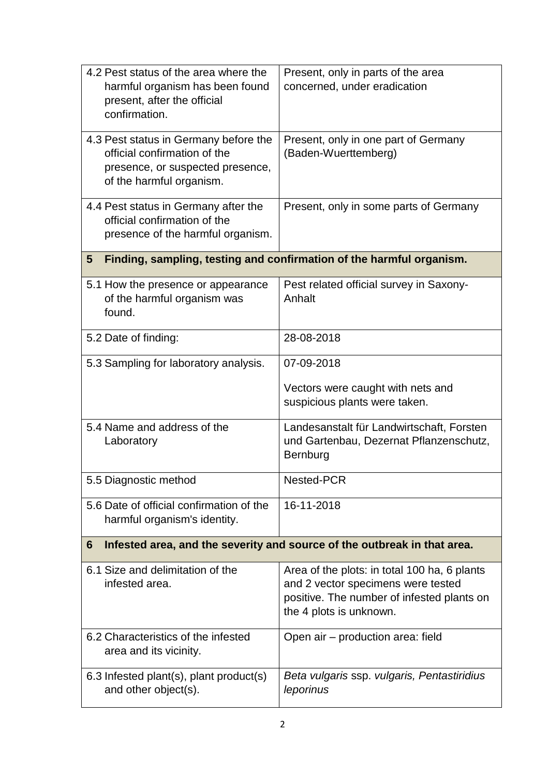| 4.2 Pest status of the area where the<br>harmful organism has been found<br>present, after the official<br>confirmation.              | Present, only in parts of the area<br>concerned, under eradication                                                                                          |  |
|---------------------------------------------------------------------------------------------------------------------------------------|-------------------------------------------------------------------------------------------------------------------------------------------------------------|--|
| 4.3 Pest status in Germany before the<br>official confirmation of the<br>presence, or suspected presence,<br>of the harmful organism. | Present, only in one part of Germany<br>(Baden-Wuerttemberg)                                                                                                |  |
| 4.4 Pest status in Germany after the<br>official confirmation of the<br>presence of the harmful organism.                             | Present, only in some parts of Germany                                                                                                                      |  |
| Finding, sampling, testing and confirmation of the harmful organism.<br>$\overline{\mathbf{5}}$                                       |                                                                                                                                                             |  |
| 5.1 How the presence or appearance<br>of the harmful organism was<br>found.                                                           | Pest related official survey in Saxony-<br>Anhalt                                                                                                           |  |
| 5.2 Date of finding:                                                                                                                  | 28-08-2018                                                                                                                                                  |  |
| 5.3 Sampling for laboratory analysis.                                                                                                 | 07-09-2018                                                                                                                                                  |  |
|                                                                                                                                       | Vectors were caught with nets and<br>suspicious plants were taken.                                                                                          |  |
| 5.4 Name and address of the<br>Laboratory                                                                                             | Landesanstalt für Landwirtschaft, Forsten<br>und Gartenbau, Dezernat Pflanzenschutz,<br>Bernburg                                                            |  |
| 5.5 Diagnostic method                                                                                                                 | Nested-PCR                                                                                                                                                  |  |
| 5.6 Date of official confirmation of the<br>harmful organism's identity.                                                              | 16-11-2018                                                                                                                                                  |  |
| Infested area, and the severity and source of the outbreak in that area.<br>6                                                         |                                                                                                                                                             |  |
| 6.1 Size and delimitation of the<br>infested area.                                                                                    | Area of the plots: in total 100 ha, 6 plants<br>and 2 vector specimens were tested<br>positive. The number of infested plants on<br>the 4 plots is unknown. |  |
| 6.2 Characteristics of the infested<br>area and its vicinity.                                                                         | Open air - production area: field                                                                                                                           |  |
| 6.3 Infested plant(s), plant product(s)<br>and other object(s).                                                                       | Beta vulgaris ssp. vulgaris, Pentastiridius<br>leporinus                                                                                                    |  |